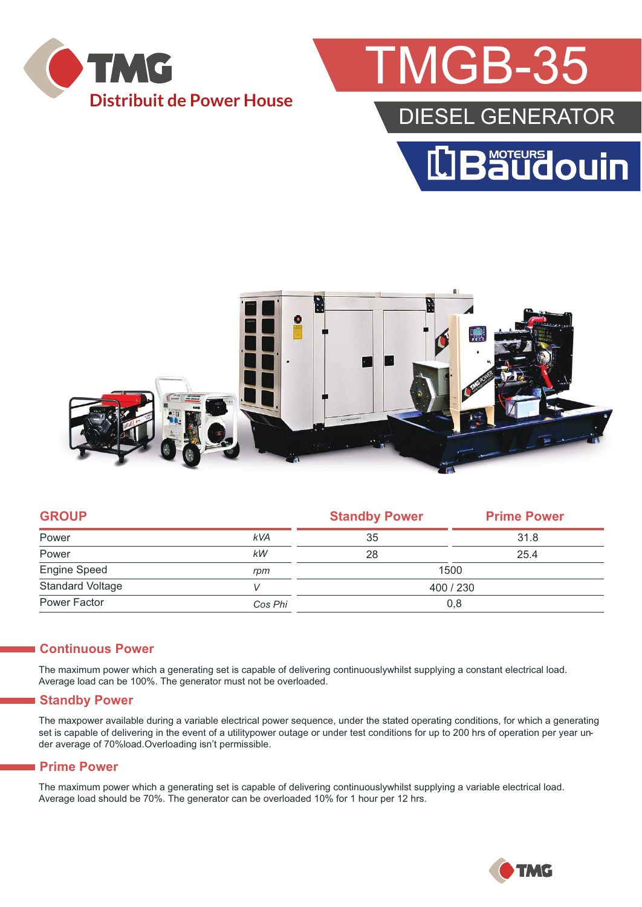

## MGB-35

### DIESEL GENERATOR





| <b>GROUP</b>            |            | <b>Standby Power</b> | <b>Prime Power</b> |  |
|-------------------------|------------|----------------------|--------------------|--|
| Power                   | <b>kVA</b> | 35                   | 31.8               |  |
| Power                   | kW         | 28                   | 25.4               |  |
| Engine Speed            | rpm        | 1500                 |                    |  |
| <b>Standard Voltage</b> |            | 400 / 230            |                    |  |
| Power Factor            | Cos Phi    | 0,8                  |                    |  |
|                         |            |                      |                    |  |

#### **Continuous Power**

The maximum power which a generating set is capable of delivering continuouslywhilst supplying a constant electrical load. Average load can be 100%. The generator must not be overloaded.

#### **Standby Power**

The maxpower available during a variable electrical power sequence, under the stated operating conditions, for which a generating set is capable of delivering in the event of a utilitypower outage or under test conditions for up to 200 hrs of operation per year under average of 70%load.Overloading isn't permissible.

#### **Prime Power**

The maximum power which a generating set is capable of delivering continuouslywhilst supplying a variable electrical load. Average load should be 70%. The generator can be overloaded 10% for 1 hour per 12 hrs.

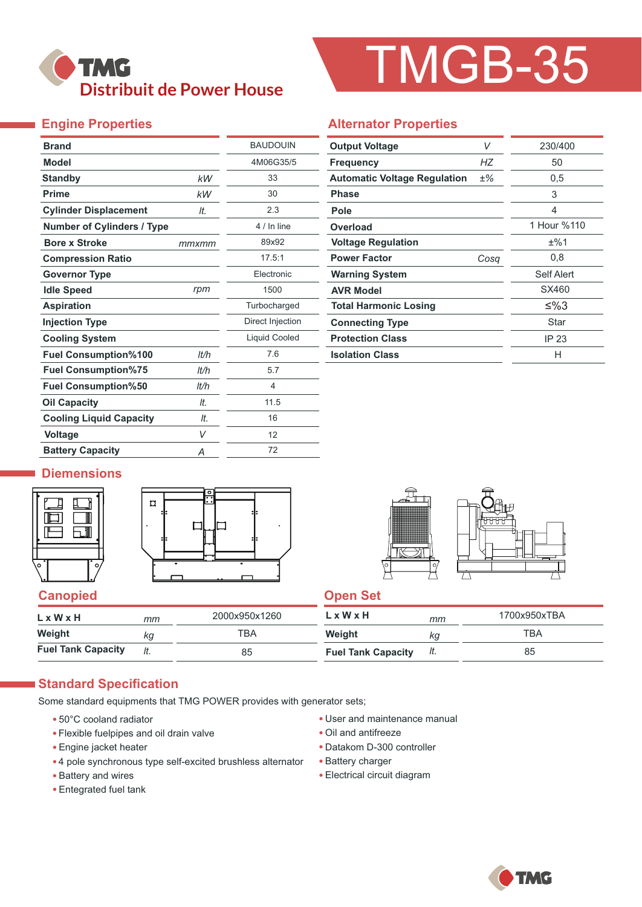## **TMG Distribuit de Power House**

# TMGB-35

#### **Engine Properties**

| <b>Brand</b>                      |       | <b>BAUDOUIN</b>      |
|-----------------------------------|-------|----------------------|
| <b>Model</b>                      |       | 4M06G35/5            |
| <b>Standby</b>                    | kW    | 33                   |
| <b>Prime</b>                      | kW    | 30                   |
| <b>Cylinder Displacement</b>      | It.   | 2.3                  |
| <b>Number of Cylinders / Type</b> |       | 4 / In line          |
| <b>Bore x Stroke</b>              | mmxmm | 89x92                |
| <b>Compression Ratio</b>          |       | 17.5:1               |
| <b>Governor Type</b>              |       | <b>Flectronic</b>    |
| <b>Idle Speed</b>                 | rpm   | 1500                 |
| <b>Aspiration</b>                 |       | Turbocharged         |
| <b>Injection Type</b>             |       | Direct Injection     |
| <b>Cooling System</b>             |       | <b>Liquid Cooled</b> |
| <b>Fuel Consumption%100</b>       | It/h  | 7.6                  |
| <b>Fuel Consumption%75</b>        | lt/h  | 5.7                  |
| <b>Fuel Consumption%50</b>        | lt/h  | 4                    |
| <b>Oil Capacity</b>               | It.   | 11.5                 |
| <b>Cooling Liquid Capacity</b>    | It.   | 16                   |
| <b>Voltage</b>                    | V     | 12                   |
| <b>Battery Capacity</b>           | Α     | 72                   |

#### **Alternator Properties**

| <b>Output Voltage</b>               | V     | 230/400     |  |
|-------------------------------------|-------|-------------|--|
| <b>Frequency</b>                    | НZ    | 50          |  |
| <b>Automatic Voltage Regulation</b> | $±\%$ | 0,5         |  |
| <b>Phase</b>                        |       | 3           |  |
| Pole                                |       | 4           |  |
| Overload                            |       | 1 Hour %110 |  |
| <b>Voltage Regulation</b>           |       | ±%1         |  |
| <b>Power Factor</b>                 | Cosa  | 0,8         |  |
| <b>Warning System</b>               |       | Self Alert  |  |
| <b>AVR Model</b>                    |       | SX460       |  |
| <b>Total Harmonic Losing</b>        |       | ≤%3         |  |
| <b>Connecting Type</b>              |       | Star        |  |
| <b>Protection Class</b>             |       | IP 23       |  |
| <b>Isolation Class</b>              |       | н           |  |

#### **Diemensions**







#### **Canopied Canopied Canopied Canopied Canopied Canopied Canopied Canopied Canopied Canopied Canopied Canopied Canopied Canopied Canopied Canopied Canopied Canopied Canopied Canopied Canopied Canopied Canopied Canopied Canop**

| L x W x H                 | mm  | 2000x950x1260 | $L \times W \times H$     | mm  | 1700x950xTBA |
|---------------------------|-----|---------------|---------------------------|-----|--------------|
| Weight                    | КQ  | TBA           | Weight                    | КQ  | TBA          |
| <b>Fuel Tank Capacity</b> | lt. | 85            | <b>Fuel Tank Capacity</b> | It. | 85           |

#### **Standard Specification**

Some standard equipments that TMG POWER provides with generator sets;

- 50°C cooland radiator
- Flexible fuelpipes and oil drain valve
- Engine jacket heater
- 4 pole synchronous type self-excited brushless alternator
- Battery and wires
- Entegrated fuel tank
- User and maintenance manual
- Oil and antifreeze
- Datakom D-300 controller
- Battery charger
- Electrical circuit diagram